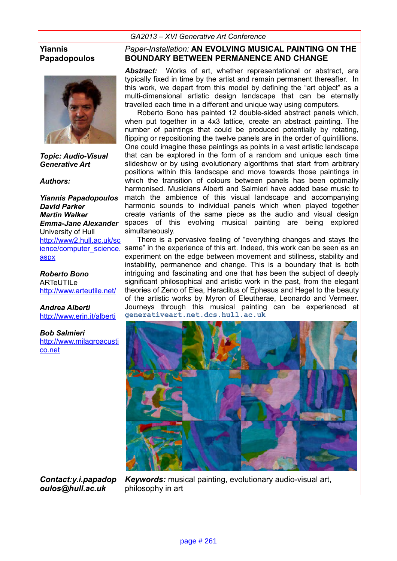### *GA2013 – XVI Generative Art Conference*

#### **Yiannis Papadopoulos**



*Topic: Audio-Visual Generative Art*

*Authors:*

*Yiannis Papadopoulos David Parker Martin Walker Emma-Jane Alexander*  University of Hull http://www2.hull.ac.uk/sc [ience/computer\\_science.](http://www2.hull.ac.uk/science/computer_science.aspx) [aspx](http://www2.hull.ac.uk/science/computer_science.aspx)

*Roberto Bono* ARTeUTILe <http://www.arteutile.net/>

*Andrea Alberti* <http://www.erjn.it/alberti>

*Bob Salmieri* http://www.milagroacusti [co.net](http://www.milagroacustico.net/) 

*Paper-Installation:* **AN EVOLVING MUSICAL PAINTING ON THE BOUNDARY BETWEEN PERMANENCE AND CHANGE**

*Abstract:* Works of art, whether representational or abstract, are typically fixed in time by the artist and remain permanent thereafter. In this work, we depart from this model by defining the "art object" as a multi-dimensional artistic design landscape that can be eternally travelled each time in a different and unique way using computers.

Roberto Bono has painted 12 double-sided abstract panels which, when put together in a 4x3 lattice, create an abstract painting. The number of paintings that could be produced potentially by rotating, flipping or repositioning the twelve panels are in the order of quintillions. One could imagine these paintings as points in a vast artistic landscape that can be explored in the form of a random and unique each time slideshow or by using evolutionary algorithms that start from arbitrary positions within this landscape and move towards those paintings in which the transition of colours between panels has been optimally harmonised. Musicians Alberti and Salmieri have added base music to match the ambience of this visual landscape and accompanying harmonic sounds to individual panels which when played together create variants of the same piece as the audio and visual design spaces of this evolving musical painting are being explored simultaneously.

There is a pervasive feeling of "everything changes and stays the same" in the experience of this art. Indeed, this work can be seen as an experiment on the edge between movement and stillness, stability and instability, permanence and change. This is a boundary that is both intriguing and fascinating and one that has been the subject of deeply significant philosophical and artistic work in the past, from the elegant theories of Zeno of Elea, Heraclitus of Ephesus and Hegel to the beauty of the artistic works by Myron of Eleutherae, Leonardo and Vermeer. Journeys through this musical painting can be experienced at **generativeart.net.dcs.hull.ac.uk**



*Contact:y.i.papadop oulos@hull.ac.uk*

*Keywords:* musical painting, evolutionary audio-visual art, philosophy in art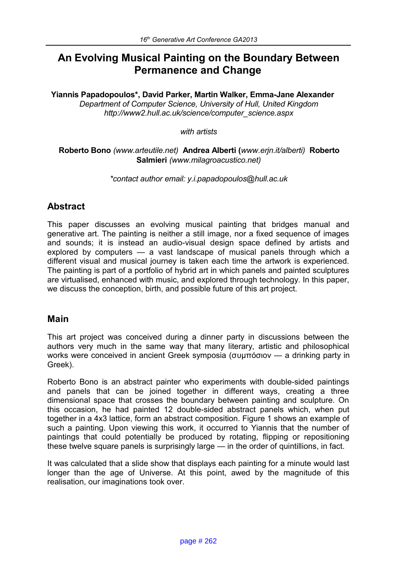# **An Evolving Musical Painting on the Boundary Between Permanence and Change**

#### **Yiannis Papadopoulos\*, David Parker, Martin Walker, Emma-Jane Alexander** *Department of Computer Science, University of Hull, United Kingdom http://www2.hull.ac.uk/science/computer\_science.aspx*

#### *with artists*

### **Roberto Bono** *(www.arteutile.net)* **Andrea Alberti (***www.erjn.it/alberti)* **Roberto Salmieri** *(www.milagroacustico.net)*

*\*contact author email: y.i.papadopoulos@hull.ac.uk*

# **Abstract**

This paper discusses an evolving musical painting that bridges manual and generative art. The painting is neither a still image, nor a fixed sequence of images and sounds; it is instead an audio-visual design space defined by artists and explored by computers — a vast landscape of musical panels through which a different visual and musical journey is taken each time the artwork is experienced. The painting is part of a portfolio of hybrid art in which panels and painted sculptures are virtualised, enhanced with music, and explored through technology. In this paper, we discuss the conception, birth, and possible future of this art project.

# **Main**

This art project was conceived during a dinner party in discussions between the authors very much in the same way that many literary, artistic and philosophical works were conceived in ancient Greek symposia (συμπόσιον — a drinking party in Greek).

Roberto Bono is an abstract painter who experiments with double-sided paintings and panels that can be joined together in different ways, creating a three dimensional space that crosses the boundary between painting and sculpture. On this occasion, he had painted 12 double-sided abstract panels which, when put together in a 4x3 lattice, form an abstract composition. Figure 1 shows an example of such a painting. Upon viewing this work, it occurred to Yiannis that the number of paintings that could potentially be produced by rotating, flipping or repositioning these twelve square panels is surprisingly large — in the order of quintillions, in fact.

It was calculated that a slide show that displays each painting for a minute would last longer than the age of Universe. At this point, awed by the magnitude of this realisation, our imaginations took over.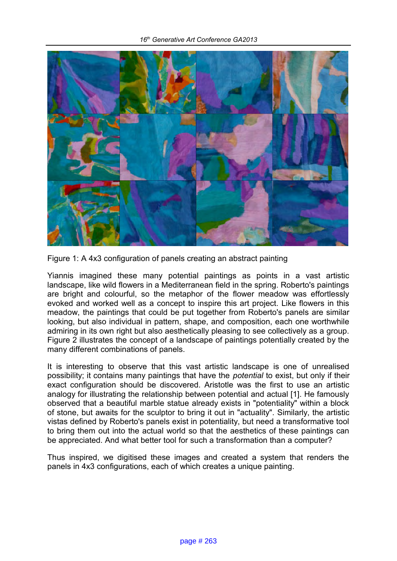

Figure 1: A 4x3 configuration of panels creating an abstract painting

Yiannis imagined these many potential paintings as points in a vast artistic landscape, like wild flowers in a Mediterranean field in the spring. Roberto's paintings are bright and colourful, so the metaphor of the flower meadow was effortlessly evoked and worked well as a concept to inspire this art project. Like flowers in this meadow, the paintings that could be put together from Roberto's panels are similar looking, but also individual in pattern, shape, and composition, each one worthwhile admiring in its own right but also aesthetically pleasing to see collectively as a group. Figure 2 illustrates the concept of a landscape of paintings potentially created by the many different combinations of panels.

It is interesting to observe that this vast artistic landscape is one of unrealised possibility; it contains many paintings that have the *potential* to exist, but only if their exact configuration should be discovered. Aristotle was the first to use an artistic analogy for illustrating the relationship between potential and actual [1]. He famously observed that a beautiful marble statue already exists in "potentiality" within a block of stone, but awaits for the sculptor to bring it out in "actuality". Similarly, the artistic vistas defined by Roberto's panels exist in potentiality, but need a transformative tool to bring them out into the actual world so that the aesthetics of these paintings can be appreciated. And what better tool for such a transformation than a computer?

Thus inspired, we digitised these images and created a system that renders the panels in 4x3 configurations, each of which creates a unique painting.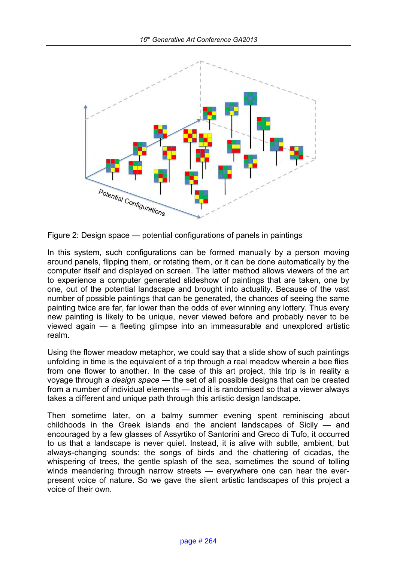

Figure 2: Design space — potential configurations of panels in paintings

In this system, such configurations can be formed manually by a person moving around panels, flipping them, or rotating them, or it can be done automatically by the computer itself and displayed on screen. The latter method allows viewers of the art to experience a computer generated slideshow of paintings that are taken, one by one, out of the potential landscape and brought into actuality. Because of the vast number of possible paintings that can be generated, the chances of seeing the same painting twice are far, far lower than the odds of ever winning any lottery. Thus every new painting is likely to be unique, never viewed before and probably never to be viewed again — a fleeting glimpse into an immeasurable and unexplored artistic realm.

Using the flower meadow metaphor, we could say that a slide show of such paintings unfolding in time is the equivalent of a trip through a real meadow wherein a bee flies from one flower to another. In the case of this art project, this trip is in reality a voyage through a *design space* — the set of all possible designs that can be created from a number of individual elements — and it is randomised so that a viewer always takes a different and unique path through this artistic design landscape.

Then sometime later, on a balmy summer evening spent reminiscing about childhoods in the Greek islands and the ancient landscapes of Sicily — and encouraged by a few glasses of Assyrtiko of Santorini and Greco di Tufo, it occurred to us that a landscape is never quiet. Instead, it is alive with subtle, ambient, but always-changing sounds: the songs of birds and the chattering of cicadas, the whispering of trees, the gentle splash of the sea, sometimes the sound of tolling winds meandering through narrow streets — everywhere one can hear the everpresent voice of nature. So we gave the silent artistic landscapes of this project a voice of their own.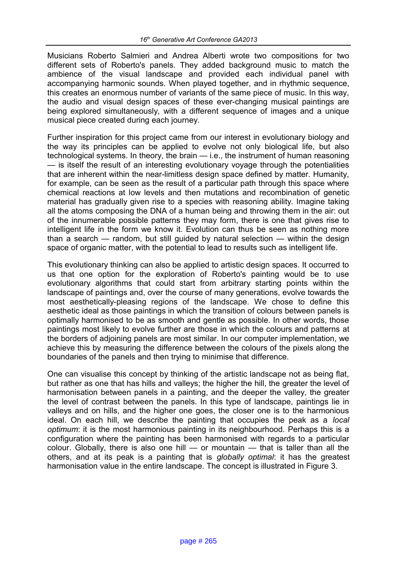Musicians Roberto Salmieri and Andrea Alberti wrote two compositions for two different sets of Roberto's panels. They added background music to match the ambience of the visual landscape and provided each individual panel with accompanying harmonic sounds. When played together, and in rhythmic sequence, this creates an enormous number of variants of the same piece of music. In this way, the audio and visual design spaces of these ever-changing musical paintings are being explored simultaneously, with a different sequence of images and a unique musical piece created during each journey.

Further inspiration for this project came from our interest in evolutionary biology and the way its principles can be applied to evolve not only biological life, but also technological systems. In theory, the brain — i.e., the instrument of human reasoning — is itself the result of an interesting evolutionary voyage through the potentialities that are inherent within the near-limitless design space defined by matter. Humanity, for example, can be seen as the result of a particular path through this space where chemical reactions at low levels and then mutations and recombination of genetic material has gradually given rise to a species with reasoning ability. Imagine taking all the atoms composing the DNA of a human being and throwing them in the air: out of the innumerable possible patterns they may form, there is one that gives rise to intelligent life in the form we know it. Evolution can thus be seen as nothing more than a search — random, but still guided by natural selection — within the design space of organic matter, with the potential to lead to results such as intelligent life.

This evolutionary thinking can also be applied to artistic design spaces. It occurred to us that one option for the exploration of Roberto's painting would be to use evolutionary algorithms that could start from arbitrary starting points within the landscape of paintings and, over the course of many generations, evolve towards the most aesthetically-pleasing regions of the landscape. We chose to define this aesthetic ideal as those paintings in which the transition of colours between panels is optimally harmonised to be as smooth and gentle as possible. In other words, those paintings most likely to evolve further are those in which the colours and patterns at the borders of adjoining panels are most similar. In our computer implementation, we achieve this by measuring the difference between the colours of the pixels along the boundaries of the panels and then trying to minimise that difference.

One can visualise this concept by thinking of the artistic landscape not as being flat, but rather as one that has hills and valleys; the higher the hill, the greater the level of harmonisation between panels in a painting, and the deeper the valley, the greater the level of contrast between the panels. In this type of landscape, paintings lie in valleys and on hills, and the higher one goes, the closer one is to the harmonious ideal. On each hill, we describe the painting that occupies the peak as a *local optimum*: it is the most harmonious painting in its neighbourhood. Perhaps this is a configuration where the painting has been harmonised with regards to a particular colour. Globally, there is also one hill  $-$  or mountain  $-$  that is taller than all the others, and at its peak is a painting that is *globally optimal*: it has the greatest harmonisation value in the entire landscape. The concept is illustrated in Figure 3.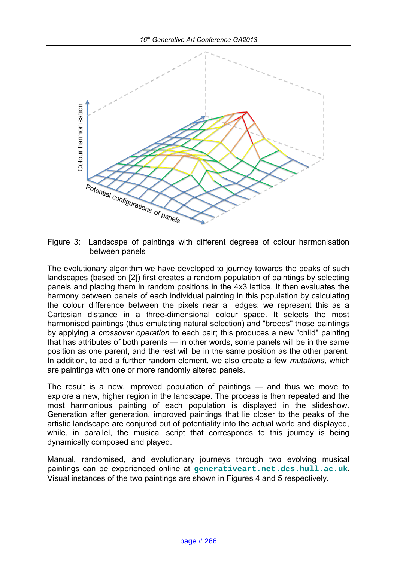

Figure 3: Landscape of paintings with different degrees of colour harmonisation between panels

The evolutionary algorithm we have developed to journey towards the peaks of such landscapes (based on [2]) first creates a random population of paintings by selecting panels and placing them in random positions in the 4x3 lattice. It then evaluates the harmony between panels of each individual painting in this population by calculating the colour difference between the pixels near all edges; we represent this as a Cartesian distance in a three-dimensional colour space. It selects the most harmonised paintings (thus emulating natural selection) and "breeds" those paintings by applying a *crossover operation* to each pair; this produces a new "child" painting that has attributes of both parents — in other words, some panels will be in the same position as one parent, and the rest will be in the same position as the other parent. In addition, to add a further random element, we also create a few *mutations*, which are paintings with one or more randomly altered panels.

The result is a new, improved population of paintings — and thus we move to explore a new, higher region in the landscape. The process is then repeated and the most harmonious painting of each population is displayed in the slideshow. Generation after generation, improved paintings that lie closer to the peaks of the artistic landscape are conjured out of potentiality into the actual world and displayed, while, in parallel, the musical script that corresponds to this journey is being dynamically composed and played.

Manual, randomised, and evolutionary journeys through two evolving musical paintings can be experienced online at **generativeart.net.dcs.hull.ac.uk.** Visual instances of the two paintings are shown in Figures 4 and 5 respectively.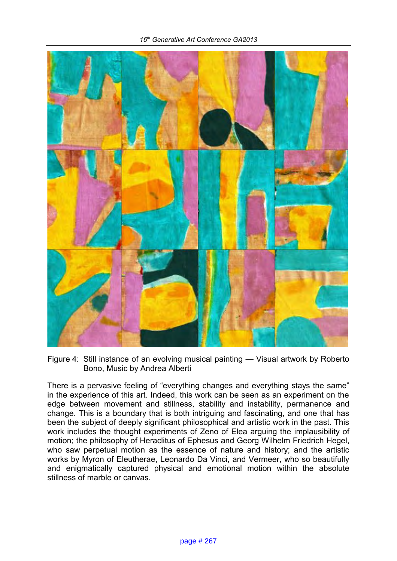

Figure 4: Still instance of an evolving musical painting — Visual artwork by Roberto Bono, Music by Andrea Alberti

There is a pervasive feeling of "everything changes and everything stays the same" in the experience of this art. Indeed, this work can be seen as an experiment on the edge between movement and stillness, stability and instability, permanence and change. This is a boundary that is both intriguing and fascinating, and one that has been the subject of deeply significant philosophical and artistic work in the past. This work includes the thought experiments of Zeno of Elea arguing the implausibility of motion; the philosophy of Heraclitus of Ephesus and Georg Wilhelm Friedrich Hegel, who saw perpetual motion as the essence of nature and history; and the artistic works by Myron of Eleutherae, Leonardo Da Vinci, and Vermeer, who so beautifully and enigmatically captured physical and emotional motion within the absolute stillness of marble or canvas.